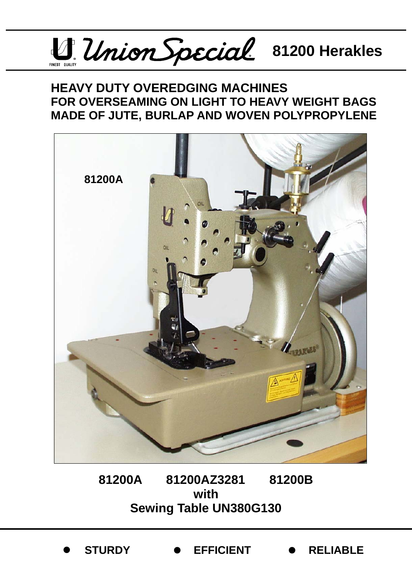

## **HEAVY DUTY OVEREDGING MACHINES FOR OVERSEAMING ON LIGHT TO HEAVY WEIGHT BAGS MADE OF JUTE, BURLAP AND WOVEN POLYPROPYLENE**



**81200A 81200AZ3281 81200B with Sewing Table UN380G130** 

z **STURDY** z **EFFICIENT** z **RELIABLE**